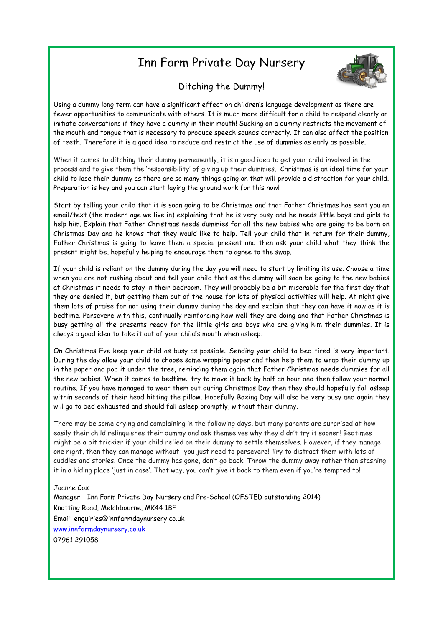## Inn Farm Private Day Nursery



## Ditching the Dummy!

Using a dummy long term can have a significant effect on children's language development as there are fewer opportunities to communicate with others. It is much more difficult for a child to respond clearly or initiate conversations if they have a dummy in their mouth! Sucking on a dummy restricts the movement of the mouth and tongue that is necessary to produce speech sounds correctly. It can also affect the position of teeth. Therefore it is a good idea to reduce and restrict the use of dummies as early as possible.

When it comes to ditching their dummy permanently, it is a good idea to get your child involved in the process and to give them the 'responsibility' of giving up their dummies. Christmas is an ideal time for your child to lose their dummy as there are so many things going on that will provide a distraction for your child. Preparation is key and you can start laying the ground work for this now!

Start by telling your child that it is soon going to be Christmas and that Father Christmas has sent you an email/text (the modern age we live in) explaining that he is very busy and he needs little boys and girls to help him. Explain that Father Christmas needs dummies for all the new babies who are going to be born on Christmas Day and he knows that they would like to help. Tell your child that in return for their dummy, Father Christmas is going to leave them a special present and then ask your child what they think the present might be, hopefully helping to encourage them to agree to the swap.

If your child is reliant on the dummy during the day you will need to start by limiting its use. Choose a time when you are not rushing about and tell your child that as the dummy will soon be going to the new babies at Christmas it needs to stay in their bedroom. They will probably be a bit miserable for the first day that they are denied it, but getting them out of the house for lots of physical activities will help. At night give them lots of praise for not using their dummy during the day and explain that they can have it now as it is bedtime. Persevere with this, continually reinforcing how well they are doing and that Father Christmas is busy getting all the presents ready for the little girls and boys who are giving him their dummies. It is always a good idea to take it out of your child's mouth when asleep.

On Christmas Eve keep your child as busy as possible. Sending your child to bed tired is very important. During the day allow your child to choose some wrapping paper and then help them to wrap their dummy up in the paper and pop it under the tree, reminding them again that Father Christmas needs dummies for all the new babies. When it comes to bedtime, try to move it back by half an hour and then follow your normal routine. If you have managed to wear them out during Christmas Day then they should hopefully fall asleep within seconds of their head hitting the pillow. Hopefully Boxing Day will also be very busy and again they will go to bed exhausted and should fall asleep promptly, without their dummy.

There may be some crying and complaining in the following days, but many parents are surprised at how easily their child relinquishes their dummy and ask themselves why they didn't try it sooner! Bedtimes might be a bit trickier if your child relied on their dummy to settle themselves. However, if they manage one night, then they can manage without- you just need to persevere! Try to distract them with lots of cuddles and stories. Once the dummy has gone, don't go back. Throw the dummy away rather than stashing it in a hiding place 'just in case'. That way, you can't give it back to them even if you're tempted to!

## Joanne Cox

Manager – Inn Farm Private Day Nursery and Pre-School (OFSTED outstanding 2014) Knotting Road, Melchbourne, MK44 1BE Email: enquiries@innfarmdaynursery.co.uk www.innfarmdaynursery.co.uk 07961 291058